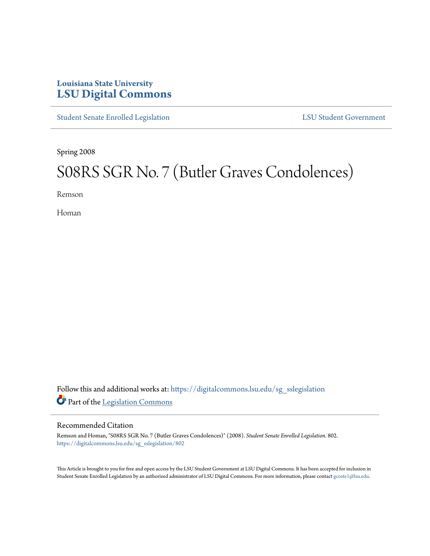## **Louisiana State University [LSU Digital Commons](https://digitalcommons.lsu.edu?utm_source=digitalcommons.lsu.edu%2Fsg_sslegislation%2F802&utm_medium=PDF&utm_campaign=PDFCoverPages)**

[Student Senate Enrolled Legislation](https://digitalcommons.lsu.edu/sg_sslegislation?utm_source=digitalcommons.lsu.edu%2Fsg_sslegislation%2F802&utm_medium=PDF&utm_campaign=PDFCoverPages) [LSU Student Government](https://digitalcommons.lsu.edu/sg?utm_source=digitalcommons.lsu.edu%2Fsg_sslegislation%2F802&utm_medium=PDF&utm_campaign=PDFCoverPages)

Spring 2008

# S08RS SGR No. 7 (Butler Graves Condolences)

Remson

Homan

Follow this and additional works at: [https://digitalcommons.lsu.edu/sg\\_sslegislation](https://digitalcommons.lsu.edu/sg_sslegislation?utm_source=digitalcommons.lsu.edu%2Fsg_sslegislation%2F802&utm_medium=PDF&utm_campaign=PDFCoverPages) Part of the [Legislation Commons](http://network.bepress.com/hgg/discipline/859?utm_source=digitalcommons.lsu.edu%2Fsg_sslegislation%2F802&utm_medium=PDF&utm_campaign=PDFCoverPages)

#### Recommended Citation

Remson and Homan, "S08RS SGR No. 7 (Butler Graves Condolences)" (2008). *Student Senate Enrolled Legislation*. 802. [https://digitalcommons.lsu.edu/sg\\_sslegislation/802](https://digitalcommons.lsu.edu/sg_sslegislation/802?utm_source=digitalcommons.lsu.edu%2Fsg_sslegislation%2F802&utm_medium=PDF&utm_campaign=PDFCoverPages)

This Article is brought to you for free and open access by the LSU Student Government at LSU Digital Commons. It has been accepted for inclusion in Student Senate Enrolled Legislation by an authorized administrator of LSU Digital Commons. For more information, please contact [gcoste1@lsu.edu.](mailto:gcoste1@lsu.edu)